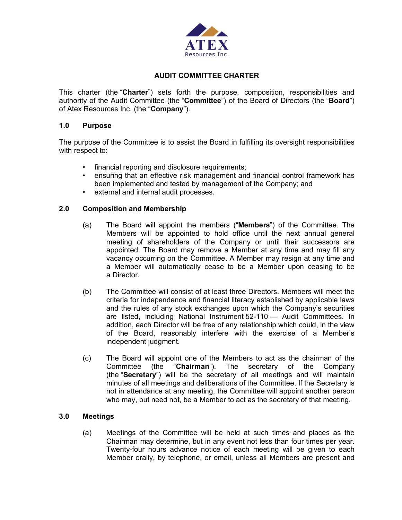

## **AUDIT COMMITTEE CHARTER**

This charter (the "**Charter**") sets forth the purpose, composition, responsibilities and authority of the Audit Committee (the "**Committee**") of the Board of Directors (the "**Board**") of Atex Resources Inc. (the "**Company**").

#### **1.0 Purpose**

The purpose of the Committee is to assist the Board in fulfilling its oversight responsibilities with respect to:

- financial reporting and disclosure requirements;
- ensuring that an effective risk management and financial control framework has been implemented and tested by management of the Company; and
- external and internal audit processes.

#### **2.0 Composition and Membership**

- (a) The Board will appoint the members ("**Members**") of the Committee. The Members will be appointed to hold office until the next annual general meeting of shareholders of the Company or until their successors are appointed. The Board may remove a Member at any time and may fill any vacancy occurring on the Committee. A Member may resign at any time and a Member will automatically cease to be a Member upon ceasing to be a Director.
- (b) The Committee will consist of at least three Directors. Members will meet the criteria for independence and financial literacy established by applicable laws and the rules of any stock exchanges upon which the Company's securities are listed, including National Instrument 52-110 — Audit Committees. In addition, each Director will be free of any relationship which could, in the view of the Board, reasonably interfere with the exercise of a Member's independent judgment.
- (c) The Board will appoint one of the Members to act as the chairman of the Committee (the "**Chairman**"). The secretary of the Company (the "**Secretary**") will be the secretary of all meetings and will maintain minutes of all meetings and deliberations of the Committee. If the Secretary is not in attendance at any meeting, the Committee will appoint another person who may, but need not, be a Member to act as the secretary of that meeting.

#### **3.0 Meetings**

(a) Meetings of the Committee will be held at such times and places as the Chairman may determine, but in any event not less than four times per year. Twenty-four hours advance notice of each meeting will be given to each Member orally, by telephone, or email, unless all Members are present and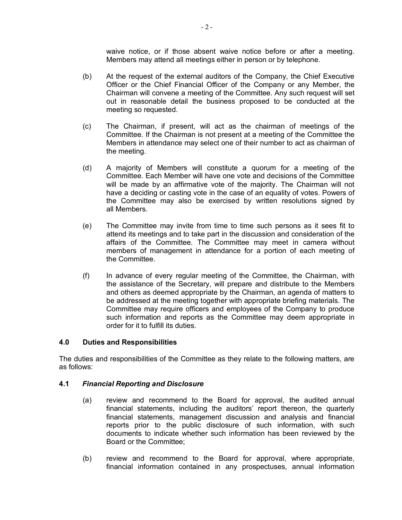waive notice, or if those absent waive notice before or after a meeting. Members may attend all meetings either in person or by telephone.

- (b) At the request of the external auditors of the Company, the Chief Executive Officer or the Chief Financial Officer of the Company or any Member, the Chairman will convene a meeting of the Committee. Any such request will set out in reasonable detail the business proposed to be conducted at the meeting so requested.
- (c) The Chairman, if present, will act as the chairman of meetings of the Committee. If the Chairman is not present at a meeting of the Committee the Members in attendance may select one of their number to act as chairman of the meeting.
- (d) A majority of Members will constitute a quorum for a meeting of the Committee. Each Member will have one vote and decisions of the Committee will be made by an affirmative vote of the majority. The Chairman will not have a deciding or casting vote in the case of an equality of votes. Powers of the Committee may also be exercised by written resolutions signed by all Members.
- (e) The Committee may invite from time to time such persons as it sees fit to attend its meetings and to take part in the discussion and consideration of the affairs of the Committee. The Committee may meet in camera without members of management in attendance for a portion of each meeting of the Committee.
- (f) In advance of every regular meeting of the Committee, the Chairman, with the assistance of the Secretary, will prepare and distribute to the Members and others as deemed appropriate by the Chairman, an agenda of matters to be addressed at the meeting together with appropriate briefing materials. The Committee may require officers and employees of the Company to produce such information and reports as the Committee may deem appropriate in order for it to fulfill its duties.

#### **4.0 Duties and Responsibilities**

The duties and responsibilities of the Committee as they relate to the following matters, are as follows:

#### **4.1** *Financial Reporting and Disclosure*

- (a) review and recommend to the Board for approval, the audited annual financial statements, including the auditors' report thereon, the quarterly financial statements, management discussion and analysis and financial reports prior to the public disclosure of such information, with such documents to indicate whether such information has been reviewed by the Board or the Committee;
- (b) review and recommend to the Board for approval, where appropriate, financial information contained in any prospectuses, annual information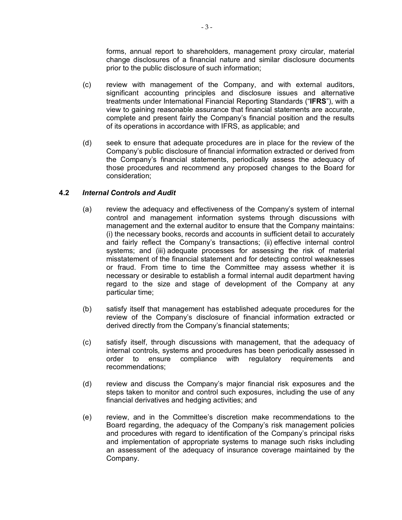forms, annual report to shareholders, management proxy circular, material change disclosures of a financial nature and similar disclosure documents prior to the public disclosure of such information;

- (c) review with management of the Company, and with external auditors, significant accounting principles and disclosure issues and alternative treatments under International Financial Reporting Standards ("**IFRS**"), with a view to gaining reasonable assurance that financial statements are accurate, complete and present fairly the Company's financial position and the results of its operations in accordance with IFRS, as applicable; and
- (d) seek to ensure that adequate procedures are in place for the review of the Company's public disclosure of financial information extracted or derived from the Company's financial statements, periodically assess the adequacy of those procedures and recommend any proposed changes to the Board for consideration;

## **4.2** *Internal Controls and Audit*

- (a) review the adequacy and effectiveness of the Company's system of internal control and management information systems through discussions with management and the external auditor to ensure that the Company maintains: (i) the necessary books, records and accounts in sufficient detail to accurately and fairly reflect the Company's transactions; (ii) effective internal control systems; and (iii) adequate processes for assessing the risk of material misstatement of the financial statement and for detecting control weaknesses or fraud. From time to time the Committee may assess whether it is necessary or desirable to establish a formal internal audit department having regard to the size and stage of development of the Company at any particular time;
- (b) satisfy itself that management has established adequate procedures for the review of the Company's disclosure of financial information extracted or derived directly from the Company's financial statements;
- (c) satisfy itself, through discussions with management, that the adequacy of internal controls, systems and procedures has been periodically assessed in order to ensure compliance with regulatory requirements and recommendations;
- (d) review and discuss the Company's major financial risk exposures and the steps taken to monitor and control such exposures, including the use of any financial derivatives and hedging activities; and
- (e) review, and in the Committee's discretion make recommendations to the Board regarding, the adequacy of the Company's risk management policies and procedures with regard to identification of the Company's principal risks and implementation of appropriate systems to manage such risks including an assessment of the adequacy of insurance coverage maintained by the Company.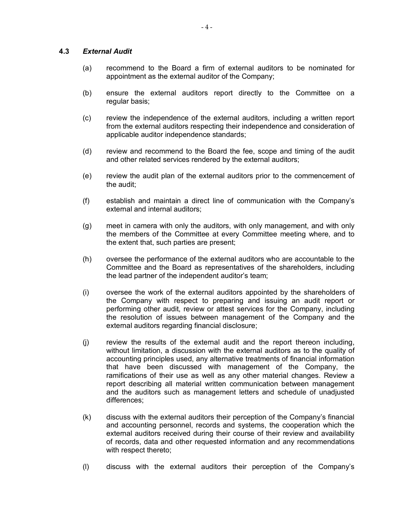#### **4.3** *External Audit*

- (a) recommend to the Board a firm of external auditors to be nominated for appointment as the external auditor of the Company;
- (b) ensure the external auditors report directly to the Committee on a regular basis;
- (c) review the independence of the external auditors, including a written report from the external auditors respecting their independence and consideration of applicable auditor independence standards;
- (d) review and recommend to the Board the fee, scope and timing of the audit and other related services rendered by the external auditors;
- (e) review the audit plan of the external auditors prior to the commencement of the audit;
- (f) establish and maintain a direct line of communication with the Company's external and internal auditors;
- (g) meet in camera with only the auditors, with only management, and with only the members of the Committee at every Committee meeting where, and to the extent that, such parties are present;
- (h) oversee the performance of the external auditors who are accountable to the Committee and the Board as representatives of the shareholders, including the lead partner of the independent auditor's team;
- (i) oversee the work of the external auditors appointed by the shareholders of the Company with respect to preparing and issuing an audit report or performing other audit, review or attest services for the Company, including the resolution of issues between management of the Company and the external auditors regarding financial disclosure;
- (j) review the results of the external audit and the report thereon including, without limitation, a discussion with the external auditors as to the quality of accounting principles used, any alternative treatments of financial information that have been discussed with management of the Company, the ramifications of their use as well as any other material changes. Review a report describing all material written communication between management and the auditors such as management letters and schedule of unadjusted differences;
- (k) discuss with the external auditors their perception of the Company's financial and accounting personnel, records and systems, the cooperation which the external auditors received during their course of their review and availability of records, data and other requested information and any recommendations with respect thereto;
- (l) discuss with the external auditors their perception of the Company's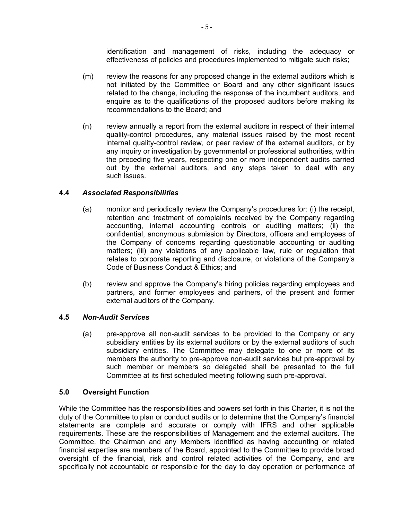identification and management of risks, including the adequacy or effectiveness of policies and procedures implemented to mitigate such risks;

- (m) review the reasons for any proposed change in the external auditors which is not initiated by the Committee or Board and any other significant issues related to the change, including the response of the incumbent auditors, and enquire as to the qualifications of the proposed auditors before making its recommendations to the Board; and
- (n) review annually a report from the external auditors in respect of their internal quality-control procedures, any material issues raised by the most recent internal quality-control review, or peer review of the external auditors, or by any inquiry or investigation by governmental or professional authorities, within the preceding five years, respecting one or more independent audits carried out by the external auditors, and any steps taken to deal with any such issues.

### **4.4** *Associated Responsibilities*

- (a) monitor and periodically review the Company's procedures for: (i) the receipt, retention and treatment of complaints received by the Company regarding accounting, internal accounting controls or auditing matters; (ii) the confidential, anonymous submission by Directors, officers and employees of the Company of concerns regarding questionable accounting or auditing matters; (iii) any violations of any applicable law, rule or regulation that relates to corporate reporting and disclosure, or violations of the Company's Code of Business Conduct & Ethics; and
- (b) review and approve the Company's hiring policies regarding employees and partners, and former employees and partners, of the present and former external auditors of the Company.

### **4.5** *Non-Audit Services*

(a) pre-approve all non-audit services to be provided to the Company or any subsidiary entities by its external auditors or by the external auditors of such subsidiary entities. The Committee may delegate to one or more of its members the authority to pre-approve non-audit services but pre-approval by such member or members so delegated shall be presented to the full Committee at its first scheduled meeting following such pre-approval.

### **5.0 Oversight Function**

While the Committee has the responsibilities and powers set forth in this Charter, it is not the duty of the Committee to plan or conduct audits or to determine that the Company's financial statements are complete and accurate or comply with IFRS and other applicable requirements. These are the responsibilities of Management and the external auditors. The Committee, the Chairman and any Members identified as having accounting or related financial expertise are members of the Board, appointed to the Committee to provide broad oversight of the financial, risk and control related activities of the Company, and are specifically not accountable or responsible for the day to day operation or performance of